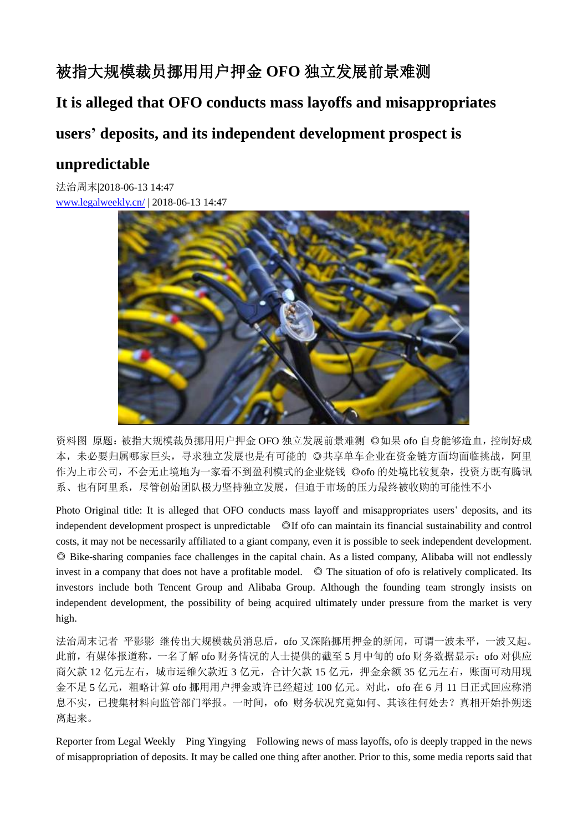# 被指大规模裁员挪用用户押金 **OFO** 独立发展前景难测

**It is alleged that OFO conducts mass layoffs and misappropriates**

## **users' deposits, and its independent development prospect is**

## **unpredictable**

法治周末|2018-06-13 14:47 [www.legalweekly.cn/](http://www.legalweekly.cn/) | 2018-06-13 14:47



资料图 原题:被指大规模裁员挪用用户押金 OFO 独立发展前景难测 ◎如果 ofo 自身能够造血,控制好成 本,未必要归属哪家巨头,寻求独立发展也是有可能的 ◎共享单车企业在资金链方面均面临挑战,阿里 作为上市公司,不会无止境地为一家看不到盈利模式的企业烧钱 ◎ofo 的处境比较复杂,投资方既有腾讯 系、也有阿里系,尽管创始团队极力坚持独立发展,但迫于市场的压力最终被收购的可能性不小

Photo Original title: It is alleged that OFO conducts mass layoff and misappropriates users' deposits, and its independent development prospect is unpredictable ◎If ofo can maintain its financial sustainability and control costs, it may not be necessarily affiliated to a giant company, even it is possible to seek independent development. ◎ Bike-sharing companies face challenges in the capital chain. As a listed company, Alibaba will not endlessly invest in a company that does not have a profitable model. ◎ The situation of ofo is relatively complicated. Its investors include both Tencent Group and Alibaba Group. Although the founding team strongly insists on independent development, the possibility of being acquired ultimately under pressure from the market is very high.

法治周末记者 平影影 继传出大规模裁员消息后,ofo 又深陷挪用押金的新闻,可谓一波未平,一波又起。 此前,有媒体报道称,一名了解 ofo 财务情况的人士提供的截至 5 月中旬的 ofo 财务数据显示: ofo 对供应 商欠款 12 亿元左右,城市运维欠款近 3 亿元,合计欠款 15 亿元,押金余额 35 亿元左右,账面可动用现 金不足 5 亿元,粗略计算 ofo 挪用用户押金或许已经超过 100 亿元。对此,ofo 在 6 月 11 日正式回应称消 息不实,已搜集材料向监管部门举报。一时间,ofo 财务状况究竟如何、其该往何处去?真相开始扑朔迷 离起来。

Reporter from Legal Weekly Ping Yingying Following news of mass layoffs, ofo is deeply trapped in the news of misappropriation of deposits. It may be called one thing after another. Prior to this, some media reports said that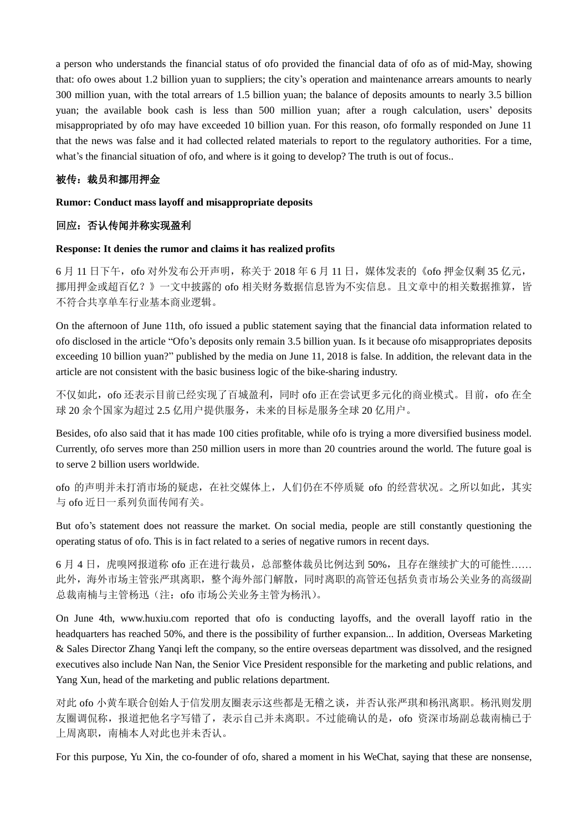a person who understands the financial status of ofo provided the financial data of ofo as of mid-May, showing that: ofo owes about 1.2 billion yuan to suppliers; the city's operation and maintenance arrears amounts to nearly 300 million yuan, with the total arrears of 1.5 billion yuan; the balance of deposits amounts to nearly 3.5 billion yuan; the available book cash is less than 500 million yuan; after a rough calculation, users' deposits misappropriated by ofo may have exceeded 10 billion yuan. For this reason, ofo formally responded on June 11 that the news was false and it had collected related materials to report to the regulatory authorities. For a time, what's the financial situation of ofo, and where is it going to develop? The truth is out of focus..

### 被传:裁员和挪用押金

#### **Rumor: Conduct mass layoff and misappropriate deposits**

### 回应:否认传闻并称实现盈利

#### **Response: It denies the rumor and claims it has realized profits**

6 月 11 日下午,ofo 对外发布公开声明,称关于 2018 年 6 月 11 日,媒体发表的《ofo 押金仅剩 35 亿元, 挪用押金或超百亿?》一文中披露的 ofo 相关财务数据信息皆为不实信息。且文章中的相关数据推算,皆 不符合共享单车行业基本商业逻辑。

On the afternoon of June 11th, ofo issued a public statement saying that the financial data information related to ofo disclosed in the article "Ofo's deposits only remain 3.5 billion yuan. Is it because ofo misappropriates deposits exceeding 10 billion yuan?" published by the media on June 11, 2018 is false. In addition, the relevant data in the article are not consistent with the basic business logic of the bike-sharing industry.

不仅如此,ofo 还表示目前已经实现了百城盈利,同时 ofo 正在尝试更多元化的商业模式。目前,ofo 在全 球 20 余个国家为超过 2.5 亿用户提供服务,未来的目标是服务全球 20 亿用户。

Besides, ofo also said that it has made 100 cities profitable, while ofo is trying a more diversified business model. Currently, ofo serves more than 250 million users in more than 20 countries around the world. The future goal is to serve 2 billion users worldwide.

ofo 的声明并未打消市场的疑虑,在社交媒体上,人们仍在不停质疑 ofo 的经营状况。之所以如此,其实 与 ofo 近日一系列负面传闻有关。

But ofo's statement does not reassure the market. On social media, people are still constantly questioning the operating status of ofo. This is in fact related to a series of negative rumors in recent days.

6 月 4 日,虎嗅网报道称 ofo 正在进行裁员,总部整体裁员比例达到 50%,且存在继续扩大的可能性…… 此外,海外市场主管张严琪离职,整个海外部门解散,同时离职的高管还包括负责市场公关业务的高级副 总裁南楠与主管杨迅(注: ofo 市场公关业务主管为杨汛)。

On June 4th, www.huxiu.com reported that ofo is conducting layoffs, and the overall layoff ratio in the headquarters has reached 50%, and there is the possibility of further expansion... In addition, Overseas Marketing & Sales Director Zhang Yanqi left the company, so the entire overseas department was dissolved, and the resigned executives also include Nan Nan, the Senior Vice President responsible for the marketing and public relations, and Yang Xun, head of the marketing and public relations department.

对此 ofo 小黄车联合创始人于信发朋友圈表示这些都是无稽之谈,并否认张严琪和杨汛离职。杨汛则发朋 友圈调侃称,报道把他名字写错了,表示自己并未离职。不过能确认的是,ofo 资深市场副总裁南楠已于 上周离职,南楠本人对此也并未否认。

For this purpose, Yu Xin, the co-founder of ofo, shared a moment in his WeChat, saying that these are nonsense,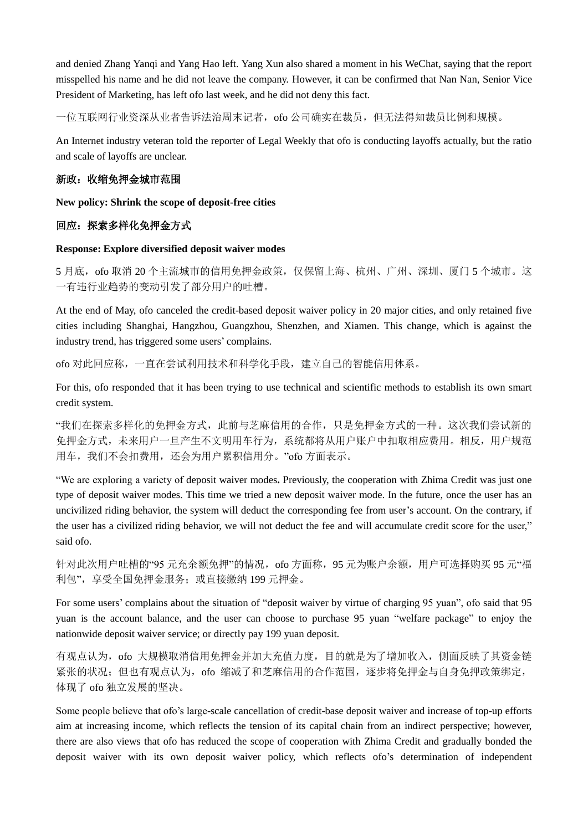and denied Zhang Yanqi and Yang Hao left. Yang Xun also shared a moment in his WeChat, saying that the report misspelled his name and he did not leave the company. However, it can be confirmed that Nan Nan, Senior Vice President of Marketing, has left ofo last week, and he did not deny this fact.

一位互联网行业资深从业者告诉法治周末记者,ofo 公司确实在裁员,但无法得知裁员比例和规模。

An Internet industry veteran told the reporter of Legal Weekly that ofo is conducting layoffs actually, but the ratio and scale of layoffs are unclear.

## 新政:收缩免押金城市范围

**New policy: Shrink the scope of deposit-free cities**

## 回应:探索多样化免押金方式

#### **Response: Explore diversified deposit waiver modes**

5 月底,ofo 取消 20 个主流城市的信用免押金政策,仅保留上海、杭州、广州、深圳、厦门 5 个城市。这 一有违行业趋势的变动引发了部分用户的吐槽。

At the end of May, ofo canceled the credit-based deposit waiver policy in 20 major cities, and only retained five cities including Shanghai, Hangzhou, Guangzhou, Shenzhen, and Xiamen. This change, which is against the industry trend, has triggered some users' complains.

ofo 对此回应称,一直在尝试利用技术和科学化手段,建立自己的智能信用体系。

For this, ofo responded that it has been trying to use technical and scientific methods to establish its own smart credit system.

"我们在探索多样化的免押金方式,此前与芝麻信用的合作,只是免押金方式的一种。这次我们尝试新的 免押金方式,未来用户一旦产生不文明用车行为,系统都将从用户账户中扣取相应费用。相反,用户规范 用车,我们不会扣费用,还会为用户累积信用分。"ofo 方面表示。

"We are exploring a variety of deposit waiver modes**.** Previously, the cooperation with Zhima Credit was just one type of deposit waiver modes. This time we tried a new deposit waiver mode. In the future, once the user has an uncivilized riding behavior, the system will deduct the corresponding fee from user's account. On the contrary, if the user has a civilized riding behavior, we will not deduct the fee and will accumulate credit score for the user," said ofo.

针对此次用户吐槽的"95 元充余额免押"的情况, ofo 方面称, 95 元为账户余额, 用户可选择购买 95 元"福 利包",享受全国免押金服务;或直接缴纳 199 元押金。

For some users' complains about the situation of "deposit waiver by virtue of charging 95 yuan", ofo said that 95 yuan is the account balance, and the user can choose to purchase 95 yuan "welfare package" to enjoy the nationwide deposit waiver service; or directly pay 199 yuan deposit.

有观点认为,ofo 大规模取消信用免押金并加大充值力度,目的就是为了增加收入,侧面反映了其资金链 紧张的状况;但也有观点认为,ofo 缩减了和芝麻信用的合作范围,逐步将免押金与自身免押政策绑定, 体现了 ofo 独立发展的坚决。

Some people believe that ofo's large-scale cancellation of credit-base deposit waiver and increase of top-up efforts aim at increasing income, which reflects the tension of its capital chain from an indirect perspective; however, there are also views that ofo has reduced the scope of cooperation with Zhima Credit and gradually bonded the deposit waiver with its own deposit waiver policy, which reflects ofo's determination of independent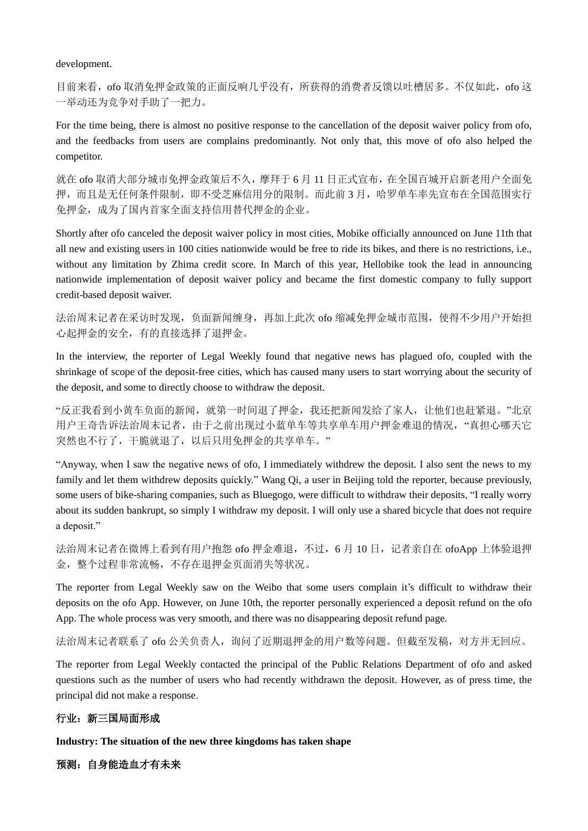development.

目前来看, ofo 取消免押金政策的正面反响几乎没有, 所获得的消费者反馈以吐槽居多。不仅如此, ofo 这 一举动还为竞争对手助了一把力。

For the time being, there is almost no positive response to the cancellation of the deposit waiver policy from ofo, and the feedbacks from users are complains predominantly. Not only that, this move of ofo also helped the competitor.

就在 ofo 取消大部分城市免押金政策后不久,摩拜于 6 月 11 日正式宣布,在全国百城开启新老用户全面免 押,而且是无任何条件限制,即不受芝麻信用分的限制。而此前 3 月, 哈罗单车率先宣布在全国范围实行 免押金,成为了国内首家全面支持信用替代押金的企业。

Shortly after ofo canceled the deposit waiver policy in most cities, Mobike officially announced on June 11th that all new and existing users in 100 cities nationwide would be free to ride its bikes, and there is no restrictions, i.e., without any limitation by Zhima credit score. In March of this year, Hellobike took the lead in announcing nationwide implementation of deposit waiver policy and became the first domestic company to fully support credit-based deposit waiver.

法治周末记者在采访时发现,负面新闻缠身,再加上此次 ofo 缩减免押金城市范围,使得不少用户开始担 心起押金的安全,有的直接选择了退押金。

In the interview, the reporter of Legal Weekly found that negative news has plagued ofo, coupled with the shrinkage of scope of the deposit-free cities, which has caused many users to start worrying about the security of the deposit, and some to directly choose to withdraw the deposit.

"反正我看到小黄车负面的新闻,就第一时间退了押金,我还把新闻发给了家人,让他们也赶紧退。"北京 用户王奇告诉法治周末记者,由于之前出现过小蓝单车等共享单车用户押金难退的情况,"真担心哪天它 突然也不行了,干脆就退了,以后只用免押金的共享单车。"

"Anyway, when I saw the negative news of ofo, I immediately withdrew the deposit. I also sent the news to my family and let them withdrew deposits quickly." Wang Qi, a user in Beijing told the reporter, because previously, some users of bike-sharing companies, such as Bluegogo, were difficult to withdraw their deposits, "I really worry about its sudden bankrupt, so simply I withdraw my deposit. I will only use a shared bicycle that does not require a deposit."

法治周末记者在微博上看到有用户抱怨 ofo 押金难退,不过, 6 月 10 日, 记者亲自在 ofoApp 上体验退押 金,整个过程非常流畅,不存在退押金页面消失等状况。

The reporter from Legal Weekly saw on the Weibo that some users complain it's difficult to withdraw their deposits on the ofo App. However, on June 10th, the reporter personally experienced a deposit refund on the ofo App. The whole process was very smooth, and there was no disappearing deposit refund page.

法治周末记者联系了 ofo 公关负责人,询问了近期退押金的用户数等问题。但截至发稿,对方并无回应。

The reporter from Legal Weekly contacted the principal of the Public Relations Department of ofo and asked questions such as the number of users who had recently withdrawn the deposit. However, as of press time, the principal did not make a response.

## 行业:新三国局面形成

**Industry: The situation of the new three kingdoms has taken shape**

预测:自身能造血才有未来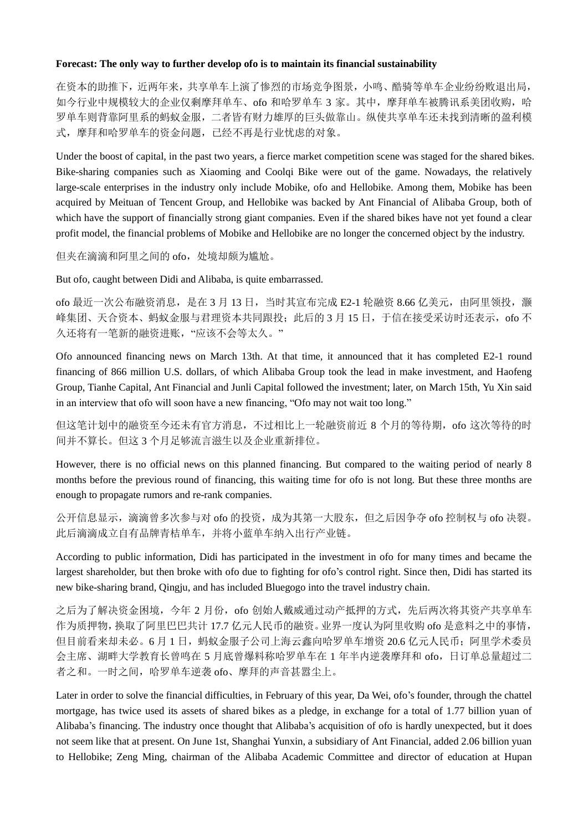#### **Forecast: The only way to further develop ofo is to maintain its financial sustainability**

在资本的助推下,近两年来,共享单车上演了惨烈的市场竞争图景,小鸣、酷骑等单车企业纷纷败退出局, 如今行业中规模较大的企业仅剩摩拜单车、ofo 和哈罗单车 3 家。其中,摩拜单车被腾讯系美团收购,哈 罗单车则背靠阿里系的蚂蚁金服,二者皆有财力雄厚的巨头做靠山。纵使共享单车还未找到清晰的盈利模 式,摩拜和哈罗单车的资金问题,已经不再是行业忧虑的对象。

Under the boost of capital, in the past two years, a fierce market competition scene was staged for the shared bikes. Bike-sharing companies such as Xiaoming and Coolqi Bike were out of the game. Nowadays, the relatively large-scale enterprises in the industry only include Mobike, ofo and Hellobike. Among them, Mobike has been acquired by Meituan of Tencent Group, and Hellobike was backed by Ant Financial of Alibaba Group, both of which have the support of financially strong giant companies. Even if the shared bikes have not yet found a clear profit model, the financial problems of Mobike and Hellobike are no longer the concerned object by the industry.

但夹在滴滴和阿里之间的 ofo,处境却颇为尴尬。

But ofo, caught between Didi and Alibaba, is quite embarrassed.

ofo 最近一次公布融资消息, 是在 3 月 13 日, 当时其宣布完成 E2-1 轮融资 8.66 亿美元, 由阿里领投, 灏 峰集团、天合资本、蚂蚁金服与君理资本共同跟投;此后的 3 月 15 日,于信在接受采访时还表示, ofo 不 久还将有一笔新的融资进账,"应该不会等太久。"

Ofo announced financing news on March 13th. At that time, it announced that it has completed E2-1 round financing of 866 million U.S. dollars, of which Alibaba Group took the lead in make investment, and Haofeng Group, Tianhe Capital, Ant Financial and Junli Capital followed the investment; later, on March 15th, Yu Xin said in an interview that ofo will soon have a new financing, "Ofo may not wait too long."

但这笔计划中的融资至今还未有官方消息,不过相比上一轮融资前近 8 个月的等待期, ofo 这次等待的时 间并不算长。但这 3 个月足够流言滋生以及企业重新排位。

However, there is no official news on this planned financing. But compared to the waiting period of nearly 8 months before the previous round of financing, this waiting time for ofo is not long. But these three months are enough to propagate rumors and re-rank companies.

公开信息显示,滴滴曾多次参与对 ofo 的投资,成为其第一大股东,但之后因争夺 ofo 控制权与 ofo 决裂。 此后滴滴成立自有品牌青桔单车,并将小蓝单车纳入出行产业链。

According to public information, Didi has participated in the investment in ofo for many times and became the largest shareholder, but then broke with ofo due to fighting for ofo's control right. Since then, Didi has started its new bike-sharing brand, Qingju, and has included Bluegogo into the travel industry chain.

之后为了解决资金困境,今年 2 月份, ofo 创始人戴威通过动产抵押的方式, 先后两次将其资产共享单车 作为质押物,换取了阿里巴巴共计 17.7 亿元人民币的融资。业界一度认为阿里收购 ofo 是意料之中的事情, 但目前看来却未必。6月1日,蚂蚁金服子公司上海云鑫向哈罗单车增资 20.6 亿元人民币;阿里学术委员 会主席、湖畔大学教育长曾鸣在 5 月底曾爆料称哈罗单车在 1 年半内逆袭摩拜和 ofo,日订单总量超过二 者之和。一时之间,哈罗单车逆袭 ofo、摩拜的声音甚嚣尘上。

Later in order to solve the financial difficulties, in February of this year, Da Wei, ofo's founder, through the chattel mortgage, has twice used its assets of shared bikes as a pledge, in exchange for a total of 1.77 billion yuan of Alibaba's financing. The industry once thought that Alibaba's acquisition of ofo is hardly unexpected, but it does not seem like that at present. On June 1st, Shanghai Yunxin, a subsidiary of Ant Financial, added 2.06 billion yuan to Hellobike; Zeng Ming, chairman of the Alibaba Academic Committee and director of education at Hupan